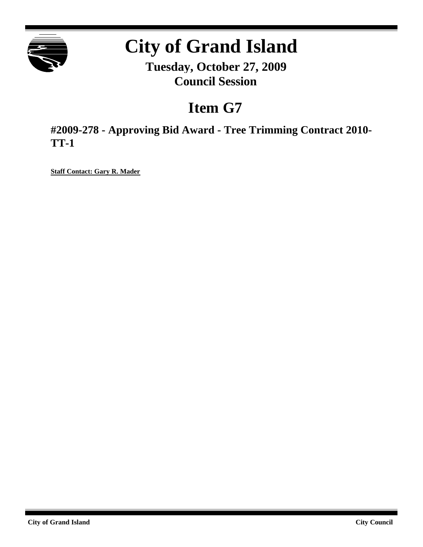

# **City of Grand Island**

**Tuesday, October 27, 2009 Council Session**

# **Item G7**

**#2009-278 - Approving Bid Award - Tree Trimming Contract 2010- TT-1**

**Staff Contact: Gary R. Mader**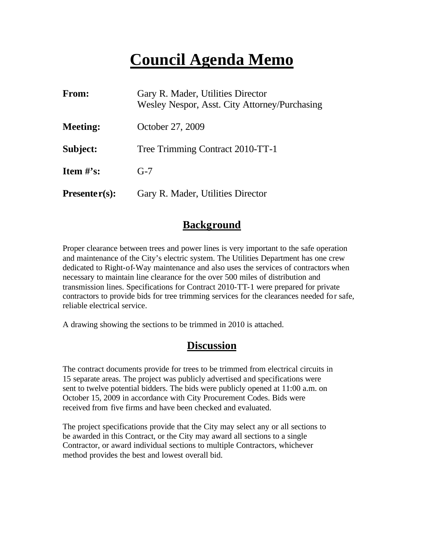# **Council Agenda Memo**

| From:           | Gary R. Mader, Utilities Director<br>Wesley Nespor, Asst. City Attorney/Purchasing |
|-----------------|------------------------------------------------------------------------------------|
| <b>Meeting:</b> | October 27, 2009                                                                   |
| Subject:        | Tree Trimming Contract 2010-TT-1                                                   |
| Item $#$ 's:    | $G-7$                                                                              |
| $Presenter(s):$ | Gary R. Mader, Utilities Director                                                  |

#### **Background**

Proper clearance between trees and power lines is very important to the safe operation and maintenance of the City's electric system. The Utilities Department has one crew dedicated to Right-of-Way maintenance and also uses the services of contractors when necessary to maintain line clearance for the over 500 miles of distribution and transmission lines. Specifications for Contract 2010-TT-1 were prepared for private contractors to provide bids for tree trimming services for the clearances needed for safe, reliable electrical service.

A drawing showing the sections to be trimmed in 2010 is attached.

### **Discussion**

The contract documents provide for trees to be trimmed from electrical circuits in 15 separate areas. The project was publicly advertised and specifications were sent to twelve potential bidders. The bids were publicly opened at 11:00 a.m. on October 15, 2009 in accordance with City Procurement Codes. Bids were received from five firms and have been checked and evaluated.

The project specifications provide that the City may select any or all sections to be awarded in this Contract, or the City may award all sections to a single Contractor, or award individual sections to multiple Contractors, whichever method provides the best and lowest overall bid.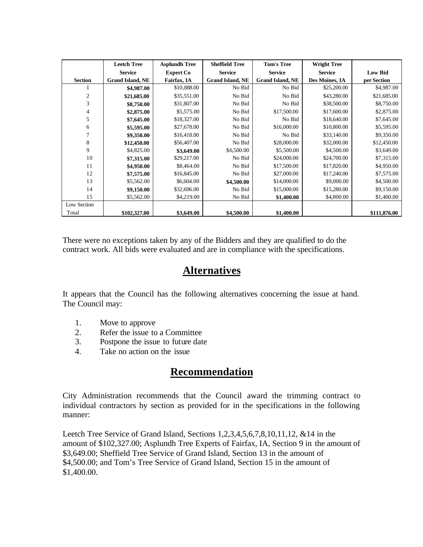|                | <b>Leetch Tree</b>      | <b>Asplundh Tree</b> | <b>Sheffield Tree</b>   | <b>Tom's Tree</b>       | <b>Wright Tree</b> |                |
|----------------|-------------------------|----------------------|-------------------------|-------------------------|--------------------|----------------|
|                | <b>Service</b>          | <b>Expert Co</b>     | <b>Service</b>          | <b>Service</b>          | <b>Service</b>     | <b>Low Bid</b> |
| <b>Section</b> | <b>Grand Island, NE</b> | Fairfax, IA          | <b>Grand Island, NE</b> | <b>Grand Island, NE</b> | Des Moines, IA     | per Section    |
|                | \$4,987.00              | \$10,888.00          | No Bid                  | No Bid                  | \$25,200.00        | \$4,987.00     |
| 2              | \$21,685.00             | \$35,551.00          | No Bid                  | No Bid                  | \$43,280.00        | \$21,685.00    |
| 3              | \$8,750.00              | \$31,807.00          | No Bid                  | No Bid                  | \$38,500.00        | \$8,750.00     |
| 4              | \$2,875.00              | \$5,575.00           | No Bid                  | \$17,500.00             | \$17,600.00        | \$2,875.00     |
| 5              | \$7,645.00              | \$18,327.00          | No Bid                  | No Bid                  | \$18,640.00        | \$7,645.00     |
| 6              | \$5,595.00              | \$27,678.00          | No Bid                  | \$16,000.00             | \$10,800.00        | \$5,595.00     |
|                | \$9,350.00              | \$16,418.00          | No Bid                  | No Bid                  | \$33,140.00        | \$9,350.00     |
| 8              | \$12,450.00             | \$56,407.00          | No Bid                  | \$28,000.00             | \$32,000.00        | \$12,450.00    |
| 9              | \$4,825.00              | \$3,649.00           | \$6,500.00              | \$5,500.00              | \$4,500.00         | \$3,649.00     |
| 10             | \$7,315.00              | \$29,217.00          | No Bid                  | \$24,000.00             | \$24,700.00        | \$7,315.00     |
| 11             | \$4,950.00              | \$8,464.00           | No Bid                  | \$17,500.00             | \$17,820.00        | \$4,950.00     |
| 12             | \$7,575.00              | \$16,845.00          | No Bid                  | \$27,000.00             | \$17,240.00        | \$7,575.00     |
| 13             | \$5,562.00              | \$6,604.00           | \$4,500.00              | \$14,000.00             | \$9,000.00         | \$4,500.00     |
| 14             | \$9,150.00              | \$32,696.00          | No Bid                  | \$15,000.00             | \$15,280.00        | \$9,150.00     |
| 15             | \$5,562.00              | \$4,219.00           | No Bid                  | \$1,400.00              | \$4,800.00         | \$1,400.00     |
| Low Section    |                         |                      |                         |                         |                    |                |
| Total          | \$102,327.00            | \$3,649.00           | \$4,500.00              | \$1,400.00              |                    | \$111,876.00   |

There were no exceptions taken by any of the Bidders and they are qualified to do the contract work. All bids were evaluated and are in compliance with the specifications.

### **Alternatives**

It appears that the Council has the following alternatives concerning the issue at hand. The Council may:

- 1. Move to approve
- 2. Refer the issue to a Committee
- 3. Postpone the issue to future date
- 4. Take no action on the issue

#### **Recommendation**

City Administration recommends that the Council award the trimming contract to individual contractors by section as provided for in the specifications in the following manner:

Leetch Tree Service of Grand Island, Sections 1,2,3,4,5,6,7,8,10,11,12, &14 in the amount of \$102,327.00; Asplundh Tree Experts of Fairfax, IA, Section 9 in the amount of \$3,649.00; Sheffield Tree Service of Grand Island, Section 13 in the amount of \$4,500.00; and Tom's Tree Service of Grand Island, Section 15 in the amount of \$1,400.00.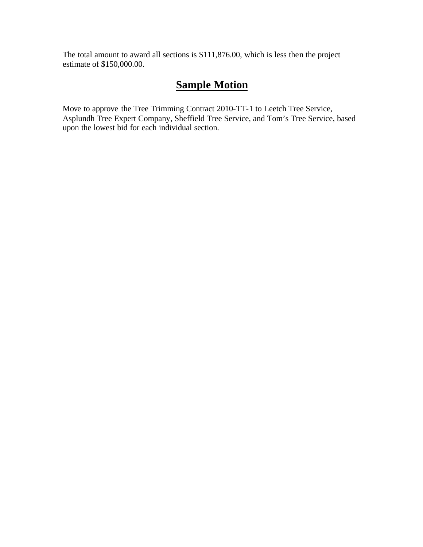The total amount to award all sections is \$111,876.00, which is less then the project estimate of \$150,000.00.

## **Sample Motion**

Move to approve the Tree Trimming Contract 2010-TT-1 to Leetch Tree Service, Asplundh Tree Expert Company, Sheffield Tree Service, and Tom's Tree Service, based upon the lowest bid for each individual section.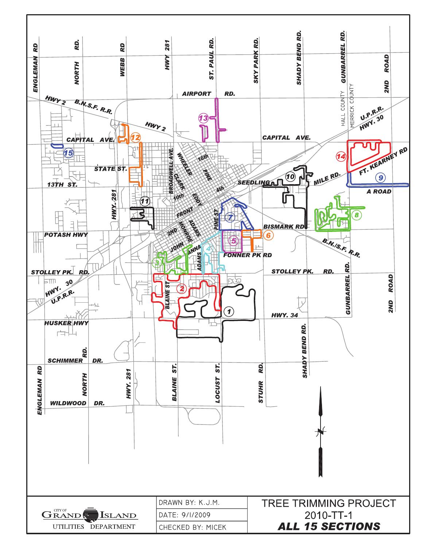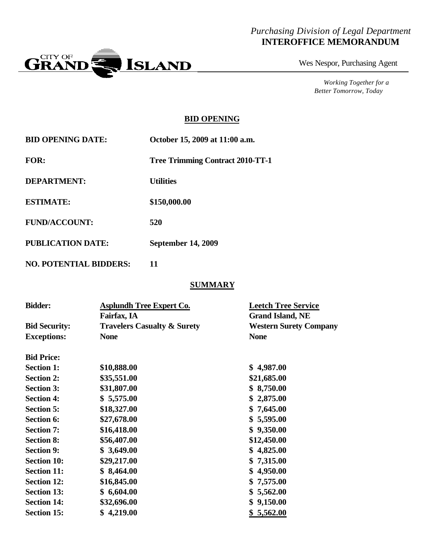#### *Purchasing Division of Legal Department* **INTEROFFICE MEMORANDUM**



Wes Nespor, Purchasing Agent

*Working Together for a Better Tomorrow, Today*

#### **BID OPENING**

| <b>BID OPENING DATE:</b>      | October 15, 2009 at 11:00 a.m.          |
|-------------------------------|-----------------------------------------|
| <b>FOR:</b>                   | <b>Tree Trimming Contract 2010-TT-1</b> |
| <b>DEPARTMENT:</b>            | <b>Utilities</b>                        |
| <b>ESTIMATE:</b>              | \$150,000.00                            |
| <b>FUND/ACCOUNT:</b>          | 520                                     |
| <b>PUBLICATION DATE:</b>      | <b>September 14, 2009</b>               |
| <b>NO. POTENTIAL BIDDERS:</b> | 11                                      |

#### **SUMMARY**

| <b>Bidder:</b>       | <b>Asplundh Tree Expert Co.</b>        | <b>Leetch Tree Service</b>    |
|----------------------|----------------------------------------|-------------------------------|
|                      | Fairfax, IA                            | <b>Grand Island, NE</b>       |
| <b>Bid Security:</b> | <b>Travelers Casualty &amp; Surety</b> | <b>Western Surety Company</b> |
| <b>Exceptions:</b>   | <b>None</b>                            | <b>None</b>                   |
| <b>Bid Price:</b>    |                                        |                               |
| <b>Section 1:</b>    | \$10,888.00                            | \$4,987.00                    |
| <b>Section 2:</b>    | \$35,551.00                            | \$21,685.00                   |
| <b>Section 3:</b>    | \$31,807.00                            | \$8,750.00                    |
| <b>Section 4:</b>    | \$5,575.00                             | \$2,875.00                    |
| <b>Section 5:</b>    | \$18,327.00                            | \$7,645.00                    |
| <b>Section 6:</b>    | \$27,678.00                            | \$5,595.00                    |
| <b>Section 7:</b>    | \$16,418.00                            | \$9,350.00                    |
| <b>Section 8:</b>    | \$56,407.00                            | \$12,450.00                   |
| <b>Section 9:</b>    | \$3,649.00                             | \$4,825.00                    |
| <b>Section 10:</b>   | \$29,217.00                            | \$7,315.00                    |
| <b>Section 11:</b>   | \$8,464.00                             | 4,950.00<br>\$                |
| <b>Section 12:</b>   | \$16,845.00                            | \$7,575.00                    |
| <b>Section 13:</b>   | \$6,604.00                             | 5,562.00<br>\$                |
| <b>Section 14:</b>   | \$32,696.00                            | \$9,150.00                    |
| <b>Section 15:</b>   | \$4,219.00                             | \$5,562.00                    |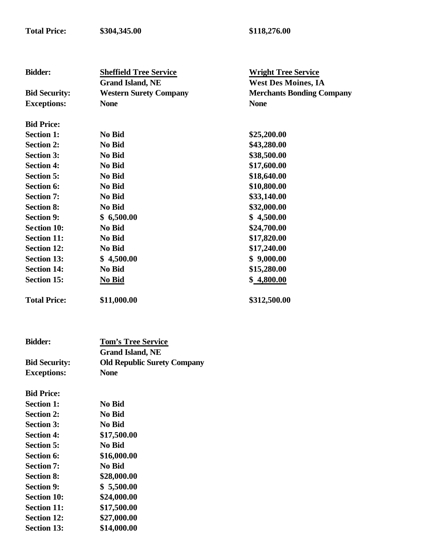| <b>Bidder:</b>       | <b>Sheffield Tree Service</b> | <b>Wright Tree Service</b>       |
|----------------------|-------------------------------|----------------------------------|
|                      | <b>Grand Island, NE</b>       | <b>West Des Moines, IA</b>       |
| <b>Bid Security:</b> | <b>Western Surety Company</b> | <b>Merchants Bonding Company</b> |
| <b>Exceptions:</b>   | <b>None</b>                   | <b>None</b>                      |
| <b>Bid Price:</b>    |                               |                                  |
| <b>Section 1:</b>    | No Bid                        | \$25,200.00                      |
| <b>Section 2:</b>    | No Bid                        | \$43,280.00                      |
| <b>Section 3:</b>    | No Bid                        | \$38,500.00                      |
| <b>Section 4:</b>    | No Bid                        | \$17,600.00                      |
| <b>Section 5:</b>    | No Bid                        | \$18,640.00                      |
| <b>Section 6:</b>    | No Bid                        | \$10,800.00                      |
| <b>Section 7:</b>    | No Bid                        | \$33,140.00                      |
| <b>Section 8:</b>    | No Bid                        | \$32,000.00                      |
| <b>Section 9:</b>    | \$6,500.00                    | \$4,500.00                       |
| <b>Section 10:</b>   | No Bid                        | \$24,700.00                      |
| <b>Section 11:</b>   | No Bid                        | \$17,820.00                      |
| <b>Section 12:</b>   | No Bid                        | \$17,240.00                      |
| <b>Section 13:</b>   | \$4,500.00                    | \$9,000.00                       |
| <b>Section 14:</b>   | No Bid                        | \$15,280.00                      |
| <b>Section 15:</b>   | No Bid                        | \$4,800.00                       |
| <b>Total Price:</b>  | \$11,000.00                   | \$312,500.00                     |

**Total Price: \$304,345.00 \$118,276.00**

| <b>Bidder:</b>       | <b>Tom's Tree Service</b>          |
|----------------------|------------------------------------|
|                      | <b>Grand Island, NE</b>            |
| <b>Bid Security:</b> | <b>Old Republic Surety Company</b> |
| <b>Exceptions:</b>   | <b>None</b>                        |
| <b>Bid Price:</b>    |                                    |
| <b>Section 1:</b>    | No Bid                             |
| <b>Section 2:</b>    | No Bid                             |
| <b>Section 3:</b>    | No Bid                             |
| <b>Section 4:</b>    | \$17,500.00                        |
| <b>Section 5:</b>    | No Bid                             |
| <b>Section 6:</b>    | \$16,000.00                        |
| <b>Section 7:</b>    | No Bid                             |
| <b>Section 8:</b>    | \$28,000.00                        |
| <b>Section 9:</b>    | \$5,500.00                         |
| <b>Section 10:</b>   | \$24,000.00                        |
| <b>Section 11:</b>   | \$17,500.00                        |
| <b>Section 12:</b>   | \$27,000.00                        |
| <b>Section 13:</b>   | \$14,000.00                        |
|                      |                                    |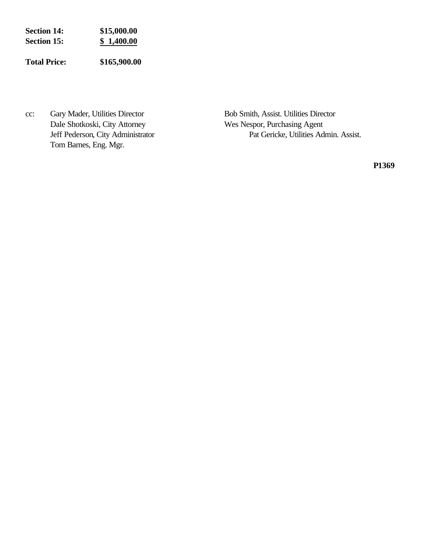| <b>Section 14:</b> | \$15,000.00 |
|--------------------|-------------|
| <b>Section 15:</b> | \$1,400.00  |
|                    |             |

**Total Price: \$165,900.00**

cc: Gary Mader, Utilities Director Bob Smith, Assist. Utilities Director Dale Shotkoski, City Attorney Wes Nespor, Purchasing Agent Tom Barnes, Eng. Mgr.

Jeff Pederson, City Administrator Pat Gericke, Utilities Admin. Assist.

**P1369**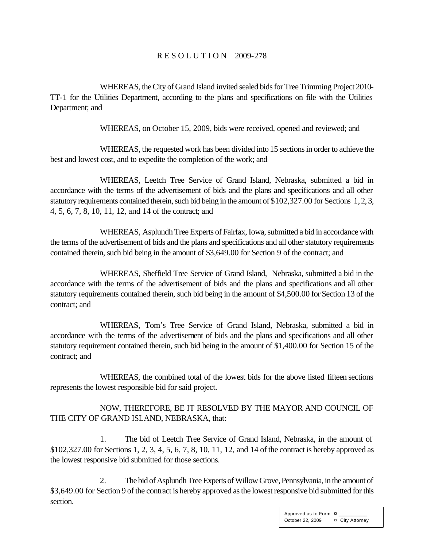#### R E S O L U T I O N 2009-278

WHEREAS, the City of Grand Island invited sealed bids for Tree Trimming Project 2010- TT-1 for the Utilities Department, according to the plans and specifications on file with the Utilities Department; and

WHEREAS, on October 15, 2009, bids were received, opened and reviewed; and

WHEREAS, the requested work has been divided into 15 sections in order to achieve the best and lowest cost, and to expedite the completion of the work; and

WHEREAS, Leetch Tree Service of Grand Island, Nebraska, submitted a bid in accordance with the terms of the advertisement of bids and the plans and specifications and all other statutory requirements contained therein, such bid being in the amount of \$102,327.00 for Sections 1, 2, 3, 4, 5, 6, 7, 8, 10, 11, 12, and 14 of the contract; and

WHEREAS, Asplundh Tree Experts of Fairfax, Iowa, submitted a bid in accordance with the terms of the advertisement of bids and the plans and specifications and all other statutory requirements contained therein, such bid being in the amount of \$3,649.00 for Section 9 of the contract; and

WHEREAS, Sheffield Tree Service of Grand Island, Nebraska, submitted a bid in the accordance with the terms of the advertisement of bids and the plans and specifications and all other statutory requirements contained therein, such bid being in the amount of \$4,500.00 for Section 13 of the contract; and

WHEREAS, Tom's Tree Service of Grand Island, Nebraska, submitted a bid in accordance with the terms of the advertisement of bids and the plans and specifications and all other statutory requirement contained therein, such bid being in the amount of \$1,400.00 for Section 15 of the contract; and

WHEREAS, the combined total of the lowest bids for the above listed fifteen sections represents the lowest responsible bid for said project.

NOW, THEREFORE, BE IT RESOLVED BY THE MAYOR AND COUNCIL OF THE CITY OF GRAND ISLAND, NEBRASKA, that:

1. The bid of Leetch Tree Service of Grand Island, Nebraska, in the amount of \$102,327.00 for Sections 1, 2, 3, 4, 5, 6, 7, 8, 10, 11, 12, and 14 of the contract is hereby approved as the lowest responsive bid submitted for those sections.

2. The bid of Asplundh Tree Experts of Willow Grove, Pennsylvania, in the amount of \$3,649.00 for Section 9 of the contract is hereby approved as the lowest responsive bid submitted for this section.

> Approved as to Form  $\overline{p}$ October 22, 2009 **¤** City Attorney